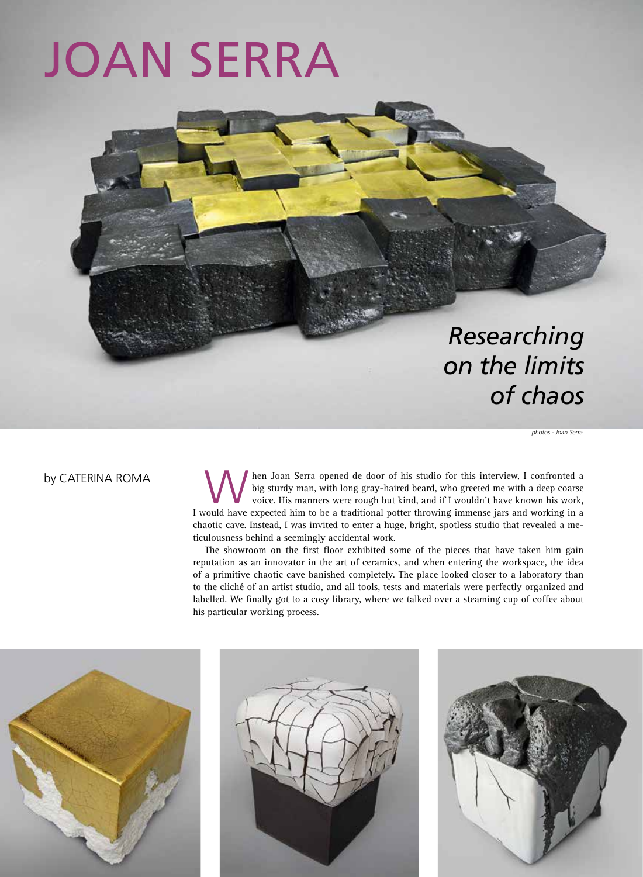# JOAN SERRA

## *Researching on the limits of chaos*

*photos - Joan Serra*

### by CATERINA ROMA

hen Joan Serra opened de door of his studio for this interview, I confronted a big sturdy man, with long gray-haired beard, who greeted me with a deep coarse voice. His manners were rough but kind, and if I wouldn't have known his work, I would have expected him to be a traditional potter throwing immense jars and working in a chaotic cave. Instead, I was invited to enter a huge, bright, spotless studio that revealed a meticulousness behind a seemingly accidental work.

The showroom on the first floor exhibited some of the pieces that have taken him gain reputation as an innovator in the art of ceramics, and when entering the workspace, the idea of a primitive chaotic cave banished completely. The place looked closer to a laboratory than to the cliché of an artist studio, and all tools, tests and materials were perfectly organized and labelled. We finally got to a cosy library, where we talked over a steaming cup of coffee about his particular working process.





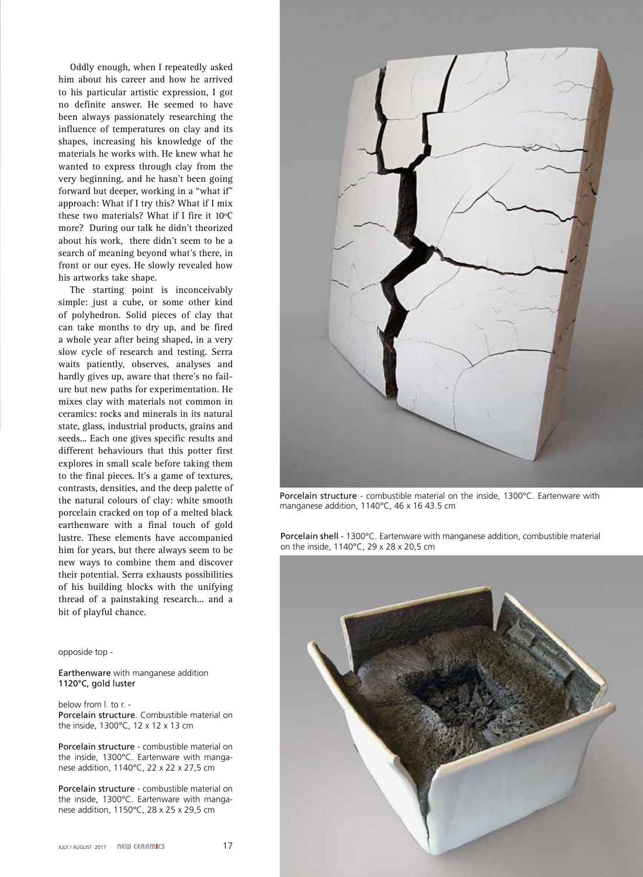Oddly enough, when I repeatedly asked him about his career and how he arrived to his particular artistic expression, I got no definite answer. He seemed to have been always passionately researching the influence of temperatures on clay and its shapes, increasing his knowledge of the materials he works with. He knew what he wanted to express through clay from the very beginning, and he hasn't been going forward but deeper, working in a "what if" approach: What if I try this? What if I mix these two materials? What if I fire it 10ºC more? During our talk he didn't theorized about his work, there didn't seem to be a search of meaning beyond what's there, in front or our eyes. He slowly revealed how his artworks take shape.

The starting point is inconceivably simple: just a cube, or some other kind of polyhedron. Solid pieces of clay that can take months to dry up, and be fired a whole year after being shaped, in a very slow cycle of research and testing. Serra waits patiently, observes, analyses and hardly gives up, aware that there's no failure but new paths for experimentation. He mixes clay with materials not common in ceramics: rocks and minerals in its natural state, glass, industrial products, grains and seeds... Each one gives specific results and different behaviours that this potter first explores in small scale before taking them to the final pieces. It's a game of textures, contrasts, densities, and the deep palette of the natural colours of clay: white smooth porcelain cracked on top of a melted black earthenware with a final touch of gold lustre. These elements have accompanied him for years, but there always seem to be new ways to combine them and discover their potential. Serra exhausts possibilities of his building blocks with the unifying thread of a painstaking research... and a bit of playful chance.

opposide top -

Earthenware with manganese addition 1120°C, gold luster

below from l. to r. - Porcelain structure. Combustible material on the inside, 1300°C, 12 x 12 x 13 cm

Porcelain structure - combustible material on the inside, 1300°C. Eartenware with manganese addition, 1140°C, 22 x 22 x 27,5 cm

Porcelain structure - combustible material on the inside, 1300°C. Eartenware with manganese addition, 1150°C, 28 x 25 x 29,5 cm



Porcelain structure - combustible material on the inside, 1300°C. Eartenware with manganese addition, 1140°C, 46 x 16 43.5 cm

Porcelain shell - 1300°C. Eartenware with manganese addition, combustible material on the inside, 1140°C, 29 x 28 x 20,5 cm

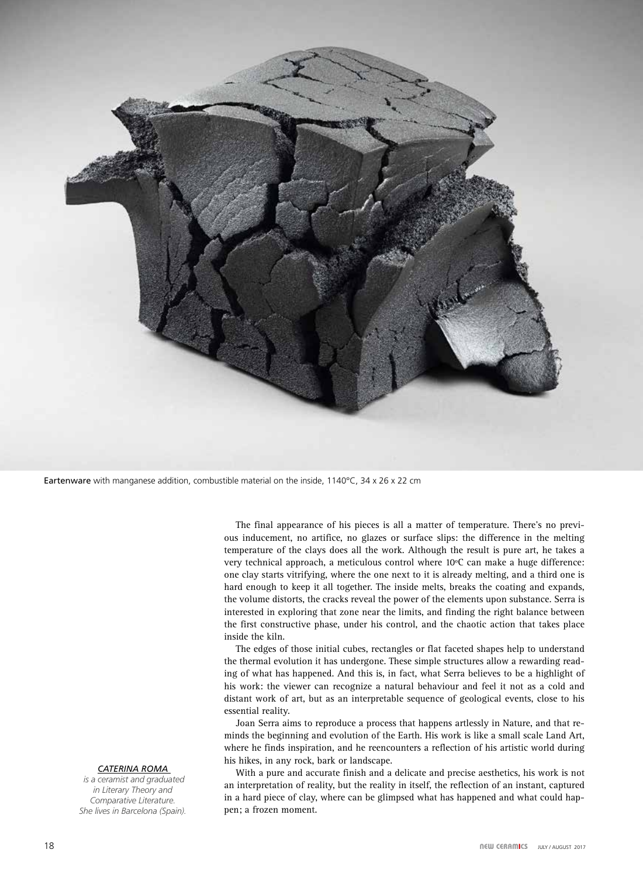

**Eartenware** with manganese addition, combustible material on the inside, 1140°C, 34 x 26 x 22 cm

The final appearance of his pieces is all a matter of temperature. There's no previous inducement, no artifice, no glazes or surface slips: the difference in the melting temperature of the clays does all the work. Although the result is pure art, he takes a very technical approach, a meticulous control where 10ºC can make a huge difference: one clay starts vitrifying, where the one next to it is already melting, and a third one is hard enough to keep it all together. The inside melts, breaks the coating and expands, the volume distorts, the cracks reveal the power of the elements upon substance. Serra is interested in exploring that zone near the limits, and finding the right balance between the first constructive phase, under his control, and the chaotic action that takes place inside the kiln.

The edges of those initial cubes, rectangles or flat faceted shapes help to understand the thermal evolution it has undergone. These simple structures allow a rewarding reading of what has happened. And this is, in fact, what Serra believes to be a highlight of his work: the viewer can recognize a natural behaviour and feel it not as a cold and distant work of art, but as an interpretable sequence of geological events, close to his essential reality.

Joan Serra aims to reproduce a process that happens artlessly in Nature, and that reminds the beginning and evolution of the Earth. His work is like a small scale Land Art, where he finds inspiration, and he reencounters a reflection of his artistic world during his hikes, in any rock, bark or landscape.

With a pure and accurate finish and a delicate and precise aesthetics, his work is not an interpretation of reality, but the reality in itself, the reflection of an instant, captured in a hard piece of clay, where can be glimpsed what has happened and what could happen; a frozen moment.

#### *CATERINA ROMA*

 *is a ceramist and graduated in Literary Theory and Comparative Literature. She lives in Barcelona (Spain).*